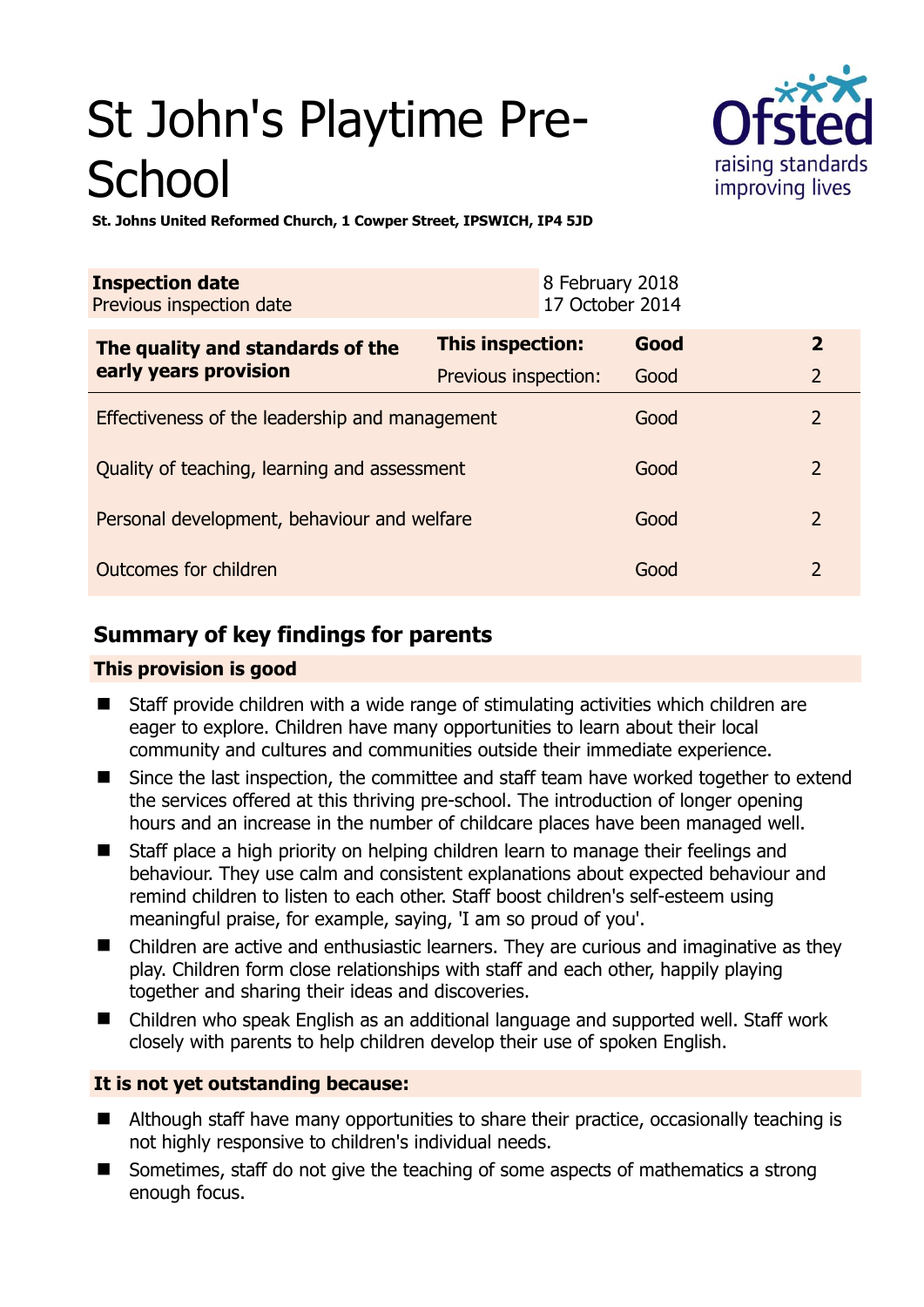# St John's Playtime Pre-**School**



**St. Johns United Reformed Church, 1 Cowper Street, IPSWICH, IP4 5JD** 

| <b>Inspection date</b><br>Previous inspection date        | 8 February 2018<br>17 October 2014 |      |                |
|-----------------------------------------------------------|------------------------------------|------|----------------|
| The quality and standards of the<br>early years provision | This inspection:                   | Good | $\overline{2}$ |
|                                                           | Previous inspection:               | Good | $\overline{2}$ |
| Effectiveness of the leadership and management            |                                    | Good | $\overline{2}$ |
| Quality of teaching, learning and assessment              |                                    | Good | $\mathcal{P}$  |
| Personal development, behaviour and welfare               |                                    | Good | $\overline{2}$ |
| Outcomes for children                                     |                                    | Good | 2              |

# **Summary of key findings for parents**

## **This provision is good**

- Staff provide children with a wide range of stimulating activities which children are eager to explore. Children have many opportunities to learn about their local community and cultures and communities outside their immediate experience.
- Since the last inspection, the committee and staff team have worked together to extend the services offered at this thriving pre-school. The introduction of longer opening hours and an increase in the number of childcare places have been managed well.
- Staff place a high priority on helping children learn to manage their feelings and behaviour. They use calm and consistent explanations about expected behaviour and remind children to listen to each other. Staff boost children's self-esteem using meaningful praise, for example, saying, 'I am so proud of you'.
- Children are active and enthusiastic learners. They are curious and imaginative as they play. Children form close relationships with staff and each other, happily playing together and sharing their ideas and discoveries.
- Children who speak English as an additional language and supported well. Staff work closely with parents to help children develop their use of spoken English.

## **It is not yet outstanding because:**

- Although staff have many opportunities to share their practice, occasionally teaching is not highly responsive to children's individual needs.
- Sometimes, staff do not give the teaching of some aspects of mathematics a strong enough focus.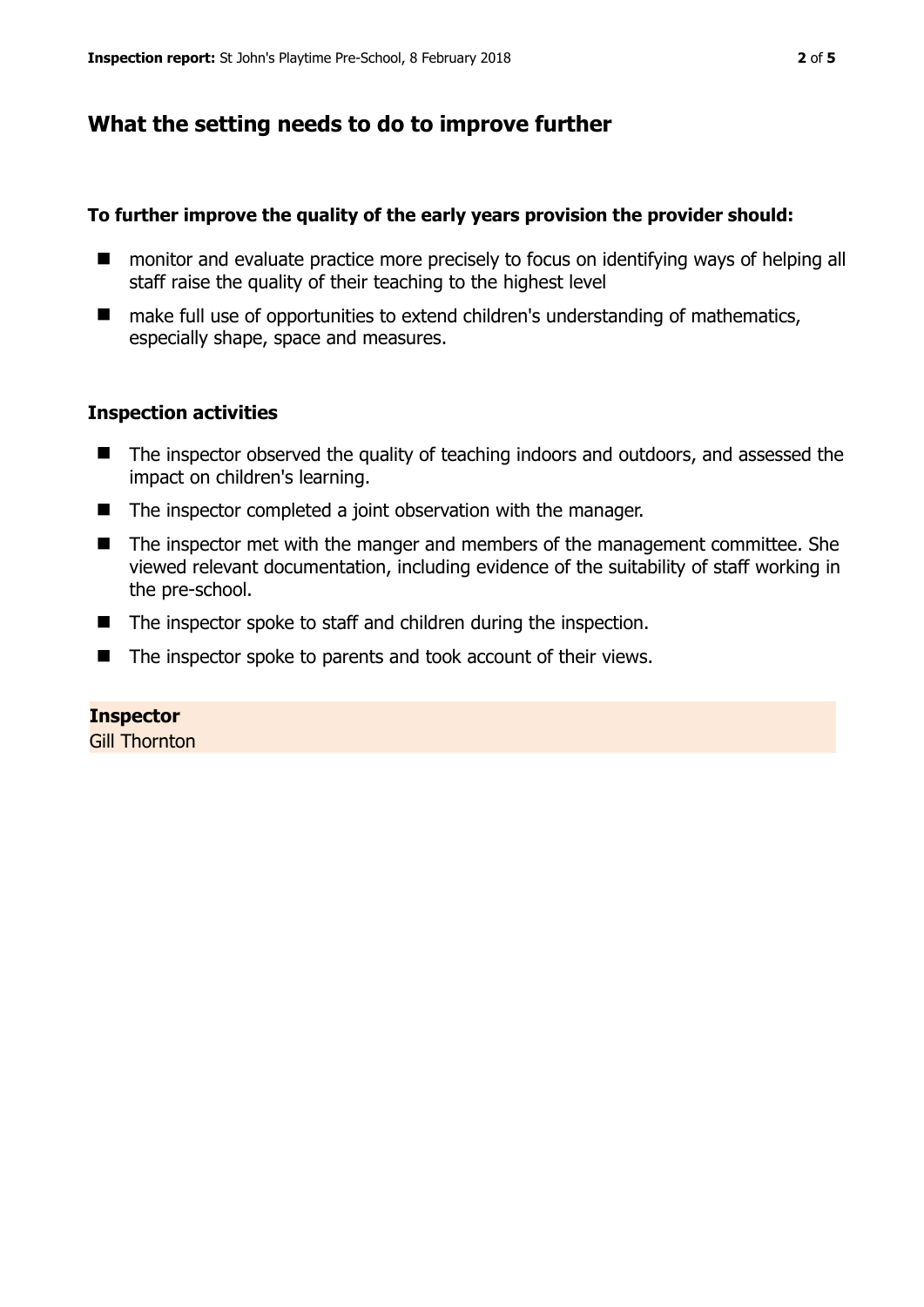# **What the setting needs to do to improve further**

#### **To further improve the quality of the early years provision the provider should:**

- monitor and evaluate practice more precisely to focus on identifying ways of helping all staff raise the quality of their teaching to the highest level
- $\blacksquare$  make full use of opportunities to extend children's understanding of mathematics, especially shape, space and measures.

#### **Inspection activities**

- The inspector observed the quality of teaching indoors and outdoors, and assessed the impact on children's learning.
- The inspector completed a joint observation with the manager.
- The inspector met with the manger and members of the management committee. She viewed relevant documentation, including evidence of the suitability of staff working in the pre-school.
- The inspector spoke to staff and children during the inspection.
- The inspector spoke to parents and took account of their views.

#### **Inspector**

Gill Thornton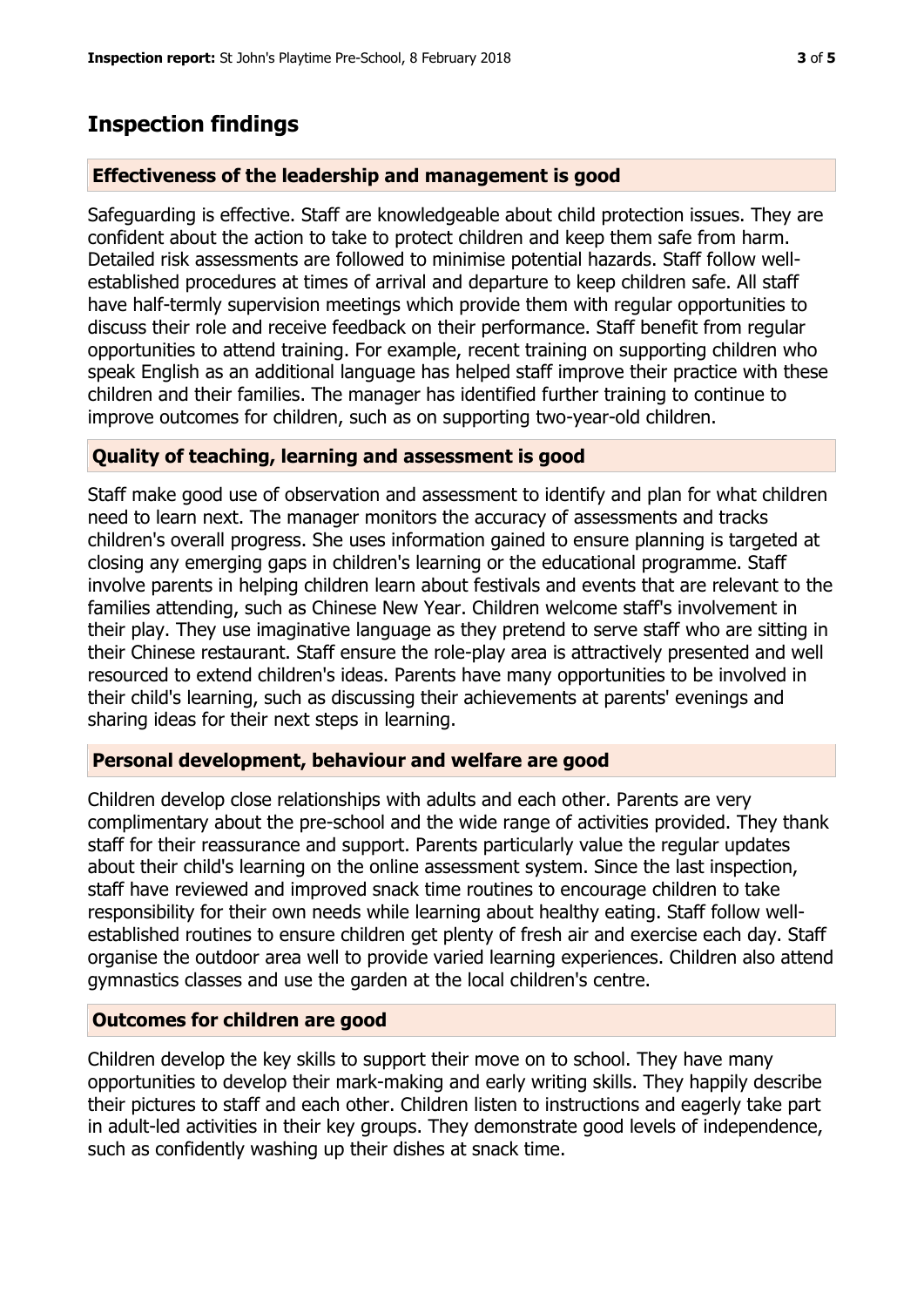## **Inspection findings**

#### **Effectiveness of the leadership and management is good**

Safeguarding is effective. Staff are knowledgeable about child protection issues. They are confident about the action to take to protect children and keep them safe from harm. Detailed risk assessments are followed to minimise potential hazards. Staff follow wellestablished procedures at times of arrival and departure to keep children safe. All staff have half-termly supervision meetings which provide them with regular opportunities to discuss their role and receive feedback on their performance. Staff benefit from regular opportunities to attend training. For example, recent training on supporting children who speak English as an additional language has helped staff improve their practice with these children and their families. The manager has identified further training to continue to improve outcomes for children, such as on supporting two-year-old children.

#### **Quality of teaching, learning and assessment is good**

Staff make good use of observation and assessment to identify and plan for what children need to learn next. The manager monitors the accuracy of assessments and tracks children's overall progress. She uses information gained to ensure planning is targeted at closing any emerging gaps in children's learning or the educational programme. Staff involve parents in helping children learn about festivals and events that are relevant to the families attending, such as Chinese New Year. Children welcome staff's involvement in their play. They use imaginative language as they pretend to serve staff who are sitting in their Chinese restaurant. Staff ensure the role-play area is attractively presented and well resourced to extend children's ideas. Parents have many opportunities to be involved in their child's learning, such as discussing their achievements at parents' evenings and sharing ideas for their next steps in learning.

#### **Personal development, behaviour and welfare are good**

Children develop close relationships with adults and each other. Parents are very complimentary about the pre-school and the wide range of activities provided. They thank staff for their reassurance and support. Parents particularly value the regular updates about their child's learning on the online assessment system. Since the last inspection, staff have reviewed and improved snack time routines to encourage children to take responsibility for their own needs while learning about healthy eating. Staff follow wellestablished routines to ensure children get plenty of fresh air and exercise each day. Staff organise the outdoor area well to provide varied learning experiences. Children also attend gymnastics classes and use the garden at the local children's centre.

#### **Outcomes for children are good**

Children develop the key skills to support their move on to school. They have many opportunities to develop their mark-making and early writing skills. They happily describe their pictures to staff and each other. Children listen to instructions and eagerly take part in adult-led activities in their key groups. They demonstrate good levels of independence, such as confidently washing up their dishes at snack time.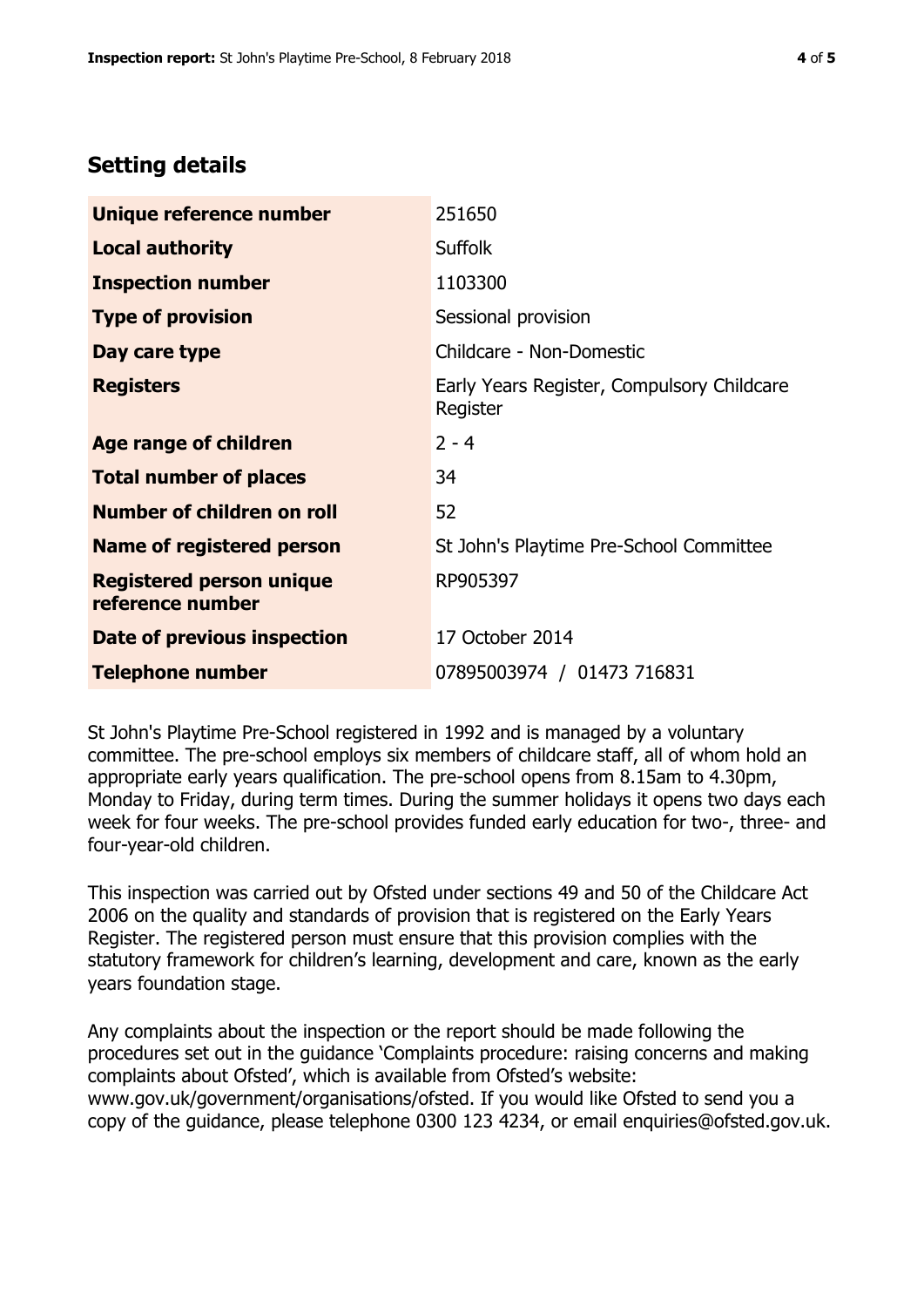# **Setting details**

| Unique reference number                             | 251650                                                 |  |
|-----------------------------------------------------|--------------------------------------------------------|--|
| <b>Local authority</b>                              | <b>Suffolk</b>                                         |  |
| <b>Inspection number</b>                            | 1103300                                                |  |
| <b>Type of provision</b>                            | Sessional provision                                    |  |
| Day care type                                       | Childcare - Non-Domestic                               |  |
| <b>Registers</b>                                    | Early Years Register, Compulsory Childcare<br>Register |  |
| Age range of children                               | $2 - 4$                                                |  |
| <b>Total number of places</b>                       | 34                                                     |  |
| Number of children on roll                          | 52                                                     |  |
| Name of registered person                           | St John's Playtime Pre-School Committee                |  |
| <b>Registered person unique</b><br>reference number | RP905397                                               |  |
| Date of previous inspection                         | 17 October 2014                                        |  |
| <b>Telephone number</b>                             | 07895003974 / 01473 716831                             |  |

St John's Playtime Pre-School registered in 1992 and is managed by a voluntary committee. The pre-school employs six members of childcare staff, all of whom hold an appropriate early years qualification. The pre-school opens from 8.15am to 4.30pm, Monday to Friday, during term times. During the summer holidays it opens two days each week for four weeks. The pre-school provides funded early education for two-, three- and four-year-old children.

This inspection was carried out by Ofsted under sections 49 and 50 of the Childcare Act 2006 on the quality and standards of provision that is registered on the Early Years Register. The registered person must ensure that this provision complies with the statutory framework for children's learning, development and care, known as the early years foundation stage.

Any complaints about the inspection or the report should be made following the procedures set out in the guidance 'Complaints procedure: raising concerns and making complaints about Ofsted', which is available from Ofsted's website: www.gov.uk/government/organisations/ofsted. If you would like Ofsted to send you a copy of the guidance, please telephone 0300 123 4234, or email enquiries@ofsted.gov.uk.